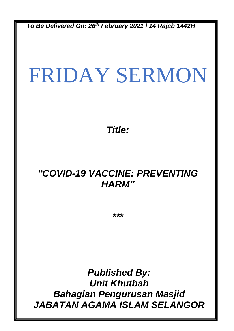*To Be Delivered On: 26th February 2021 l 14 Rajab 1442H*

# FRIDAY SERMON

*Title:*

### *"COVID-19 VACCINE: PREVENTING HARM"*

*\*\*\**

*Published By: Unit Khutbah Bahagian Pengurusan Masjid JABATAN AGAMA ISLAM SELANGOR*

0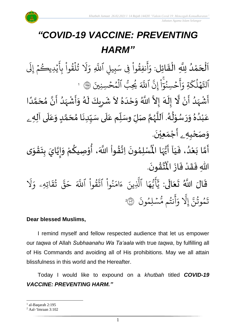سْلِمُونَ

نتُم مَّ

أ

و

َِل إ

 *Jabatan Agama Islam Selangor*

# *"COVID-19 VACCINE: PREVENTING HARM"*

.<br>با ن<br>ا اَلْحَمْدُ لِلَّهِ الْقَائِل: وَأَنفِقُواْ و<br>و ْ<br>م  $\overline{\phantom{a}}$ ֦֧֦֧֦֧֦֧֦֦֦֜֜֜֜֜֜֜֜֜֜֜<mark>֦</mark>  $\overline{\phantom{a}}$  $\frac{1}{2}$ ֦֧֦֧֦֧֦֧֦֜֜֜֜֜֜֜֜<br>֧ׅׅ֝֜֜֜֜֜֜֜֜֜֜֜֝֜֜֝֜<del>֟</del>  $\ddot{\cdot}$ و<br>په ِ<br>ج أ  $\frac{1}{2}$ وَأَنفِقُوا فِي سَبِيلِ ِ فِی سَبِیلِ اللَّهِ بر<br>آ اللَّهِ ر<br>1 يُدِيڪُمُ إِلَى  $\frac{1}{2}$ ر ہ<br>` ِ<br>ج تُلقَوا بِا  $\frac{1}{1}$ ور ہ<br>1 ور َ َل  $\frac{1}{2}$ و ةِ ر<br>م ك ل ه و<br>ا  $\frac{1}{2}$ ِ<br>په ٱتل ِ<br>پَ ِن إ ֦֧<u>֔</u>  $\ddot{\cdot}$ ا ت<br>م حۡسِنُوٓ ُو  $\frac{1}{2}$ ۔<br>ج أ ِ<br>م و ہ<br>آکھ اللَّهَ و<br>س يُحِبُّ ٱلۡمُحۡسِنِينَ ۞ ا و<br>م  $\frac{1}{2}$ و ہ<br>1 ۔<br>ا أَشْهَدُ أَنْ لَّا إِلَهَ إِلاَّ اللَّهُ وَحْدَهُ لاَ شَرِيكَ لَهُ وَأَشْهَدُ أَنَّ مُحَمَّدًا ំ<br>• ہے۔<br>ج و<br>ا ر<br>زار ْ े<br>द् ं<br>-<br>न ا<br>ا  $\frac{1}{2}$  $\tilde{\cdot}$ ر<br>ر  $\tilde{\mathbf{r}}$  $\overline{\phantom{a}}$  $\mathbf{r}$  $\sim$  $\frac{1}{2}$ َ  $\frac{1}{2}$ الما ً<br>أ ل<br>م  $\frac{1}{2}$ انا  $\sum_{i=1}^{n}$ ،<br>ا ر<br>مړ ْ  $\sum_{i=1}^{n}$ عَبْدُهُ وَرَسُوْلُهُ. آللَّهُمَّ صَلِّ وسَلِّم عَلَى سَيِّدِنَا مُحَمَّدٍ وَعَلَى آلِهِ ـ  $\overline{\mathbf{r}}$ ِ<br>م  $\tilde{\cdot}$ <u>لم</u> ر<br>م )<br>ጎ  $\ddot{\phantom{0}}$  $\frac{1}{1}$  $\overline{\mathbf{1}}$ ِ<br>م  $\tilde{\mathbf{i}}$ لة<br>م ر<br>ر<br>ر ش<br>آ  $\mathbf{r}$ .<br>لم  $\frac{1}{\epsilon}$ ់<br>្ و<br>م  $\ddot{\phantom{0}}$  $\tilde{a}$  $\frac{9}{\lambda}$ و<br>ا ំ<br>រ ً<br>م و*َص<sub>َ</sub>حْبِهِ <sub>ۦ</sub> أَجْمَعِيْنَ.* ْ  $\ddot{\phantom{0}}$ ់<br>(  $\tilde{a}$  $\tilde{\mathbf{r}}$ آ ي ، ف د ع ا ب م أ ون م ل سْ ُْ  $\frac{1}{1}$  $\frac{1}{2}$ .<br>و ំ<br>រ  $\ddot{\cdot}$ لة<br>م ِ<br>پنج  $\ddot{\phantom{0}}$ ›<br>ለ أَيُّهَا الْمُسْلِمُونَ اِتَّقُواْ اللَّهَ، أُوْصِيكُمْ وَإِيَّايَ بِتَقْوَى ِ<br>أم ُ<br>ُرو<br>■  $\frac{1}{2}$  $\frac{1}{2}$ ֦֧<u>֦</u>  $\ddot{\phantom{0}}$  $\frac{1}{2}$ ا<br>ا |<br>=<br>=  $\tilde{\cdot}$ ر<br>مخ ֦֧֦֧֦ **ہ**<br>م ٝ<br>ا **مبر**<br>م الة  $\frac{1}{2}$ اللّهِ فَقَدْ فَازَ الْمُتَّقُونَ ْ  $\frac{1}{2}$  $\ddot{\cdot}$ .  $\ddot{\phantom{0}}$  $\frac{9}{4}$ ا<br>ایر<br>جو ہ<br>ا اْل از  $\ddot{\cdot}$ قَالَ اللَّهُ تَعَالَى: ِ<br>ا َ  $\ddot{\phantom{0}}$  $\ddot{\mathbf{r}}$ ر<br>1 َل ر<br>م اتِهِۦ و  $\ddot{\mathbf{z}}$ ق ت و<br>په ین<br>مو قی  $\tilde{\phantom{0}}$ ح ہ<br>آک قُوا اللَّهَ  $\ddot{\phantom{0}}$ ور ِ<br>په نُوا اڌّ  $\frac{1}{1}$ ُ  $\frac{1}{2}$ ام  $\tilde{\epsilon}$ ء ِينَ ىر<br>1 ا الَّذِ ِ<br>م ه و<br>د سَ<br>ڊ ۔<br>ج  $\overline{\mathcal{L}}$ ِ<br>د ي  $\ddot{\cdot}$ و<br>م  $\ddot{\phantom{0}}$ و<br>مم و<br>په ِ<br>ج  $\frac{1}{c}$ ىد<br>1 ِ<br>په تَمُوثُنَّ إِلَّا وَأَنتُم مُّسۡلِمُونَ ۞ و<br>په و<br>م

#### **Dear blessed Muslims,**

I remind myself and fellow respected audience that let us empower our *taqwa* of Allah *Subhaanahu Wa Ta'aala* with true *taqwa*, by fulfilling all of His Commands and avoiding all of His prohibitions. May we all attain blissfulness in this world and the Hereafter.

2

Today I would like to expound on a *khutbah* titled *COVID-19 VACCINE: PREVENTING HARM."*

 $<sup>1</sup>$  al-Baqarah 2:195</sup>

<sup>2</sup> Aal-'Imraan 3:102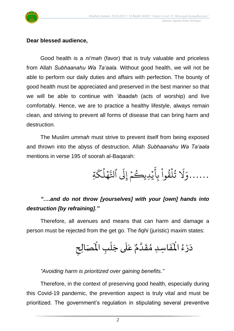

#### **Dear blessed audience,**

Good health is a *ni'mah* (favor) that is truly valuable and priceless from Allah *Subhaanahu Wa Ta'aala*. Without good health, we will not be able to perform our daily duties and affairs with perfection. The bounty of good health must be appreciated and preserved in the best manner so that we will be able to continue with *'ibaadah* (acts of worship) and live comfortably. Hence, we are to practice a healthy lifestyle, always remain clean, and striving to prevent all forms of disease that can bring harm and destruction.

The Muslim *ummah* must strive to prevent itself from being exposed and thrown into the abyss of destruction. Allah *Subhaanahu Wa Ta'aala* mentions in verse 195 of soorah al-Baqarah:

> ......وَلَا تُلَّقُواْ بِأَيْدِيكُمْ إِلَى ٱلتَّهۡلُكَةِ ر<br>م ك ل ه و<br>ا  $\frac{1}{2}$ ِ<br>په ٱتل  $\tilde{t}$ يُدِيڪُمْ إِلَى  $\frac{1}{2}$ و  $\ddot{\phantom{0}}$ ِ<br>ج تُلقَوا بِا  $\frac{1}{2}$ ور ہ<br>1 و<br>په ر<br>1 َل  $\frac{1}{2}$ و

#### *"….and do not throw [yourselves] with your [own] hands into destruction [by refraining]."*

Therefore, all avenues and means that can harm and damage a person must be rejected from the get go. The *fiqhi* (juristic) maxim states:

> $\frac{1}{2}$ .<br>لَمَصَالِح عَلَى جَلْبِ الْمَ ْ  $\overline{\phantom{a}}$  $\frac{1}{1}$ .<br>م  $\mathbf{r}$ َفَاسِدِ مُقَدَّمٌ ا<br>په  $\frac{1}{2}$  $\frac{1}{2}$  $\ddot{\cdot}$  $\hat{\mathbf{r}}$ دَرْءُ الْمُ  $\frac{1}{2}$ ْ  $\sim$

*"Avoiding harm is prioritized over gaining benefits."*

Therefore, in the context of preserving good health, especially during this Covid-19 pandemic, the prevention aspect is truly vital and must be prioritized. The government's regulation in stipulating several preventive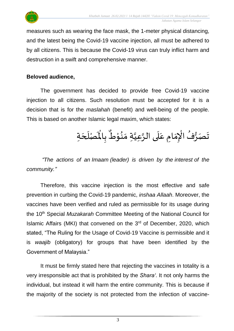

measures such as wearing the face mask, the 1-meter physical distancing, and the latest being the Covid-19 vaccine injection, all must be adhered to by all citizens. This is because the Covid-19 virus can truly inflict harm and destruction in a swift and comprehensive manner.

#### **Beloved audience,**

The government has decided to provide free Covid-19 vaccine injection to all citizens. Such resolution must be accepted for it is a decision that is for the *maslahah* (benefit) and well-being of the people. This is based on another Islamic legal maxim, which states:

> تَصَرُّفُ الْإِمَامِ عَلَى الرَّعِيَّةِ مَنُوْطٌ بِالْمَصْلَحَةِ  $\frac{1}{2}$ ֦֧֦֧֦֧֦֧֦֧֦֧֦֧֦֧֜֜֓֓<br>**֡** ُ  $\ddot{\phantom{0}}$  $\overline{\phantom{a}}$  $\mathbf{r}$ بِالْمَا  $\ddot{\cdot}$  $\frac{1}{\pi}$ مِ عَلَى الرَّعِيَّةِ مَنُوْطٌ ֦֧֝֝<br>**֧** ُ<br>پ∙  $\frac{1}{2}$ ا<br>ا اتا<br>پ  $\frac{1}{1}$ ِ<br>م

*"The actions of an Imaam (leader) is driven by the interest of the community."*

Therefore, this vaccine injection is the most effective and safe prevention in curbing the Covid-19 pandemic, *inshaa Allaah*. Moreover, the vaccines have been verified and ruled as permissible for its usage during the 10<sup>th</sup> Special *Muzakarah* Committee Meeting of the National Council for Islamic Affairs (MKI) that convened on the 3<sup>rd</sup> of December, 2020, which stated, "The Ruling for the Usage of Covid-19 Vaccine is permissible and it is *waajib* (obligatory) for groups that have been identified by the Government of Malaysia."

It must be firmly stated here that rejecting the vaccines in totality is a very irresponsible act that is prohibited by the *Shara'*. It not only harms the individual, but instead it will harm the entire community. This is because if the majority of the society is not protected from the infection of vaccine-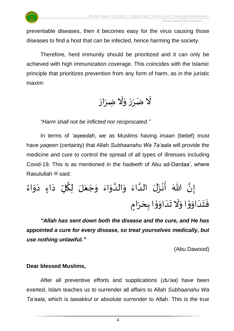

 *Jabatan Agama Islam Selangor*

preventable diseases, then it becomes easy for the virus causing those diseases to find a host that can be infected, hence harming the society.

Therefore, herd immunity should be prioritized and it can only be achieved with high immunization coverage. This coincides with the Islamic principle that prioritizes prevention from any form of harm, as in the juristic maxim:

 $\tilde{\mathbf{r}}$ لَّا ضَرَرَ وَلَا ضِرَارَ ِ<br>م  $\ddot{\phantom{0}}$  $\tilde{\cdot}$ ें:  $\frac{1}{2}$  $\frac{1}{2}$ 

*"Harm shall not be inflicted nor reciprocated."*

In terms of *'aqeedah*, we as Muslims having *imaan* (belief) must have *yaqeen* (certainty) that Allah *Subhaanahu Wa Ta'aala* will provide the medicine and cure to control the spread of all types of illnesses including Covid-19. This is as mentioned in the *hadeeth* of Abu ad-Dardaa', where Rasulullah صلى الله عليه وسلم said:

ً اء َ و َ ء د ٍ ا َ د ل ُ ك ل لَ َ ع َ ج َ و َ اء َ و ا الد َ و َ اء ا الد لَ َ ز ْ ن َ أ هللاَ ا ن إ َ د َ ت َ ف ٍ ام َ ر َ ح ا ب ْ و َ او َ د َ ت َ َّل َ او ْ و َ او

*"Allah has sent down both the disease and the cure, and He has appointed a cure for every disease, so treat yourselves medically, but use nothing unlawful."*

(Abu Dawood)

#### **Dear blessed Muslims,**

After all preventive efforts and supplications (*du'aa*) have been exerted, Islam teaches us to surrender all affairs to Allah *Subhaanahu Wa Ta'aala*, which is *tawakkul* or absolute surrender to Allah. This is the true

4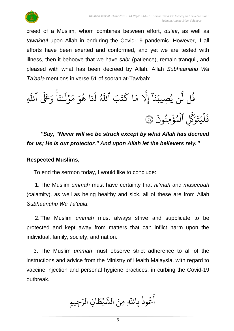$\ddot{\cdot}$ 



creed of a Muslim, whom combines between effort, *du'aa*, as well as *tawakkul* upon Allah in enduring the Covid-19 pandemic. However, if all efforts have been exerted and conformed, and yet we are tested with illness, then it behoove that we have *sabr* (patience), remain tranquil, and pleased with what has been decreed by Allah. Allah *Subhaanahu Wa Ta'aala* mentions in verse 51 of soorah at-Tawbah:

 $\frac{2}{1}$ ىيە<br>ا ء<br>ا وَعَلَى ٱللَّهِ  $\ddot{\cdot}$ ن ى ؚ<br>֡֟ ر<br>1 ل و  $\frac{1}{2}$  $\frac{1}{6}$ ر<br>م  $\frac{1}{2}$ و ا ه و<br>ج  $\ddot{\cdot}$  $\tilde{\mathbf{t}}$ َل ِ<br>پرو<br>( ا ٱّلل بَ َ ت ر<br>سم ا ك  $\frac{1}{6}$ ر<br>م ىد<br>1 َِل إ  $\tilde{1}$ ا  $\ddot{\cdot}$ بز ر<br>د ِصيب ن ي و<br>پ ِ<br>آ ل ل ق ور  $\ddot{\cdot}$ ِ اَلْمُؤْمِنُونَ ُو<br>و ہ<br>\$ و ہ<br>1 ىر<br>س َّك ِ<br>م ۔<br>و  $\ddot{\phantom{0}}$ ت  $\frac{1}{1}$ ي ل ہ<br>1 فَلْيَتَوَكَّلْ الْمُؤْمِنُونَ ۞

*"Say, "Never will we be struck except by what Allah has decreed for us; He is our protector." And upon Allah let the believers rely."*

#### **Respected Muslims,**

To end the sermon today, I would like to conclude:

1. The Muslim *ummah* must have certainty that *ni'mah* and *museebah* (calamity), as well as being healthy and sick, all of these are from Allah *Subhaanahu Wa Ta'aala*.

2. The Muslim *ummah* must always strive and supplicate to be protected and kept away from matters that can inflict harm upon the individual, family, society, and nation.

3. The Muslim *ummah* must observe strict adherence to all of the instructions and advice from the Ministry of Health Malaysia, with regard to vaccine injection and personal hygiene practices, in curbing the Covid-19 outbreak.

ِجِيمِ ِ<br>س ِن الر ا  $\tilde{\xi}$ يْط  $\ddot{\phantom{0}}$ س<br>شه عُوذُ بِاللَّهِ مِنَ الشَّ و<br>په و<br>م ِ<br>ج أ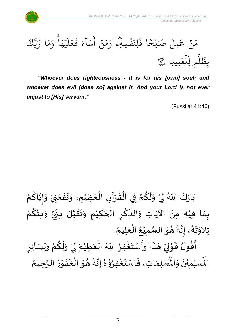



*"Whoever does righteousness - it is for his [own] soul; and whoever does evil [does so] against it. And your Lord is not ever unjust to [His] servant."*

(Fussilat 41:46)

ْ بَارَكَ اللّهُ لِيْ وَلَكُمْ فِي الْقُرْآنِ الْعَظِيْمِ، وَنَفَعَنِيْ وَإِيَّاكُمْ َ  $\ddot{\cdot}$  $\ddot{\phantom{0}}$  $\tilde{\cdot}$ ْ  $\frac{1}{2}$ ֦֧֦֧֦֧֦֧֦֧֦֜֜֜֜֓֓֟֓<br>֧ׅׅׅ֝֜֜֜֜֜֜֜֜֜֜֝֜֜֜֝֜֜֬֟ ْ  $\frac{9}{4}$ ֦֧֦֧֦֧֦֧֦֧֦֧֦֧֜֜֜֜֓֓<br>**֡** ْ <u>ہ</u>  $\tilde{\mathbf{r}}$  $\frac{1}{2}$ ំ<br>,  $\frac{1}{2}$  $\ddot{\phantom{0}}$ ْ <u>ل</u> ن<br>• !<br>-<br>- $\tilde{\cdot}$ بِمَا فِيْهِ مِنَ الآيَاتِ وَالنِّكْرِ الْحَكِيْمِ وَتَقَبَّلَ مِنِّيْ وَمِنْكُمْ ن<br>ا  $\frac{1}{2}$  $\frac{1}{2}$  $\tilde{\cdot}$ ំ<br>រ  $\overline{\phantom{a}}$ ֝֟֝֟֝֝֝<br>֧֝֟֝֜֝֟֓֟֓֟֓֟֓֟֓֟֓֟֓֟֓֟֓֟֓֟֓֟֓֟֓֟֓֟֩֕  $\sum$ ؚ<br>م  $\frac{1}{2}$ ์ $\frac{1}{2}$ ِ<br>پُ  $\ddot{\phantom{0}}$ ំ<br>រ  $\frac{1}{2}$ ْ ِ<br>م ْ  $\tilde{\cdot}$ ْ '<br>י  $\sum$ . ़<br>१ تِلاوَتَهُ، إِنَّهُ هُوَ السَّمِيْعُ الْعَلِيْمُ ْ َ ֦֧֦֧֦֧֦֧֦֧֦֧֦֧֦֧֦֧֜֜֓֓֟֓֟֓<br>**֡** ُ ْ ا<br>ما  $\frac{1}{2}$  $\frac{1}{2}$ و<br>گ لة<br>•  $\frac{1}{2}$ .<br>ر<br>ار  $\frac{1}{2}$  $\frac{1}{2}$  $\sum$ أَقُولُ قَوْلِيْ هَذَا وَأَسْتَغْفِرُ اللّٰهَ الْعَظِيْمَ لِيْ وَلَكُمْ وَلِسَاْئِرِ  $\tilde{\cdot}$ ْ <u>و</u>  $\tilde{\mathbf{r}}$  $\tilde{\cdot}$ ْ إ  $\frac{1}{2}$ ْ َ ֦֧֦֧֦֧֦֧֦֧֦֧֦֧֜֜֜֜֜֓֓<br>֧֝֜֜֜֜֜֜֜֜֜֜֜֜֜֞֟ ∫<br>∕ ِ<br>وف  $\ddot{\phantom{0}}$ ا<br>:<br>:  $\frac{1}{2}$  $\ddot{\cdot}$  $\overline{a}$ ំ<br>, لمح ֦֧֝֝<br>**֧**  $\frac{1}{2}$ ر<br>بو —<br>ع<br>ج

ُ رِبِ<br>لْمُسْلِمَاتِ، فَاسْتَغْفِرُوْهُ إِنَّهُ هُوَ الْغَفُوْرُ الرَّحِيْمُ ْ اتا<br>ا  $\frac{1}{2}$ ْ  $\frac{1}{2}$  $\ddot{\cdot}$ ر<br>ف  $\frac{1}{2}$  $\frac{1}{2}$ و<br>گ ن<br>•<br>•  $\frac{1}{2}$ ُ י<br>י **ء** ِ<br>وفيات  $\ddot{\ }$  $\ddot{\cdot}$  $\frac{1}{2}$ ر۔<br>لْمُسْلِمِيْنَ وَالْمُ  $\frac{1}{2}$  $\ddot{\phantom{0}}$ ់<br>**់** المأ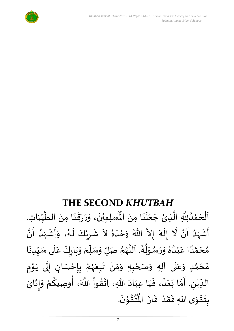

 *Jabatan Agama Islam Selangor*

## **THE SECOND** *KHUTBAH*

للسلمِيْنَ، وَرَزَقَنَا مِنَ الطَّيِّبَاتِ  $\frac{1}{1}$ しんこ  $\frac{1}{2}$ ن<br>ا  $\ddot{\phantom{0}}$ ।<br>◆<br>◆  $\frac{1}{2}$  $\ddot{\cdot}$  $\frac{1}{2}$  $\tilde{\cdot}$  $\ddot{\phantom{0}}$ ់<br>**រ** اَلْحَمْدُلِلَّهِ الَّذِيْ جَعَلَنَا مِنَ الْمُسْلِمِيْنَ، وَرَزَقَنَا مِنَ الطَّيِّبَاتِ.  $\ddot{\phantom{0}}$  $\ddot{\phantom{0}}$ َ<br>الم  $\frac{1}{2}$  $\ddot{\phantom{0}}$ ا<br>ا ان<br>ا و<br>و **ٔ**  $\overline{\phantom{a}}$ ֦֧֦֧֦֧֦֧֦֧֦֧֦֧֜֜֜֜֓֓֟֓֟֓֜֜֜֜֜֜֜<br>**֡**  $\overline{\phantom{a}}$ ا<br>ا أَشْهَدُ أَنْ لَّا إِلَهَ إِلاَّ اللّهُ وَحْدَهُ لاَ شَرِيْكَ لَهُ، وَأَشْهَدُ أَنَّ ْ ر<br>پنج و<br>ا  $\frac{1}{2}$ ْ  $\tilde{\mathbf{z}}$ و<br>م الا ં<br>ત  $\tilde{\cdot}$  $\frac{1}{2}$  $\lambda$  $\frac{1}{2}$ ِ<br>ا  $\tilde{\cdot}$ ا<br>با<br>• -<br>با بر<br>د  $\frac{1}{2}$ ْ  $\frac{1}{2}$  $\frac{1}{2}$ د<br>گ  $\tilde{\mathbf{r}}$ ْ  $\overline{\phantom{a}}$  $\frac{1}{2}$ مُحَمَّدًا عَبْدُهُ وَرَسُوْلُهُ. اَللَّهُمَّ صَلِّ وَسَلِّمْ وَبَارِكْ عَلَى سَبِّدِنَا  $\ddot{\phantom{0}}$  $\frac{1}{1}$  $\frac{1}{2}$ `<br>أ .<br>م ّ<br>وُ  $\ddot{\phantom{0}}$  $\frac{1}{2}$ ៝<br>៝ ์<br>ผู้  $\overline{r}$  $\tilde{\cdot}$ ن<br>م و<br>ر<br>ر ا<br>آ  $\overline{\phantom{a}}$ و<br>گ  $^9$ י<br>י ر<br>م  $\frac{1}{2}$  $\frac{1}{2}$  $\frac{1}{\lambda}$ و<br>و ْ .<br>م ً<br>أ ت<br>م  $\overline{\phantom{a}}$  $\frac{1}{2}$ مُحَمَّدٍ وَعَلَى آلِهِ وَصَحْبِهِ وَمَنْ تَبِعَهُمْ بِإِحْسَانٍ إِلَى يَوْمِ <u>ل</u> تة<br>م  $\overline{\phantom{a}}$  $\frac{1}{2}$  $\mathbf{r}$ ً<br>م  $\tilde{\cdot}$ ֦֧֦ ़<br>-<br>• َ ل  $\frac{1}{2}$ )<br>=<br>= ْ <u>د</u><br>: ْ و<br>ر َ  $\frac{1}{2}$ ْ  $\frac{1}{2}$ ์ $\tilde{\cdot}$ ֦֧<u>֦</u> ْ الدِّيْنِ. أَمَّا بَعْدُ، فَيَا عِبَادَ اللّهِ، اِتَّقُواْ اللَّهَ، أُوصِيكُمْ وَإِيَّايَ ُ<br>مو ن<br>\*  $\ddot{\phantom{0}}$  $\frac{1}{2}$ َ  $\frac{1}{2}$ ٍ<br>'' ំ<br>រ  $\ddot{\phantom{0}}$ تة<br>م  $\frac{1}{2}$  $\sum$ ْ ر<br>م اتا<br>م |<br>-<br>-<br>- $\tilde{\cdot}$ ِ<br>م<br>≸ ِ<br>م ُ<br>پار .  $\ddot{\phantom{0}}$ تقُوْنَ י<br>י  $\frac{1}{2}$ ا<br>این<br>جو ُ<br>مو بِتَقْوَى اللّهِ فَقَدْ فَازَ الْمُ  $\ddot{\phantom{0}}$  $\frac{1}{2}$ ْ  $\frac{1}{2}$  $\frac{1}{2}$  $\frac{1}{2}$ ّ<br>مو  $\ddot{\ }$  $\ddot{\cdot}$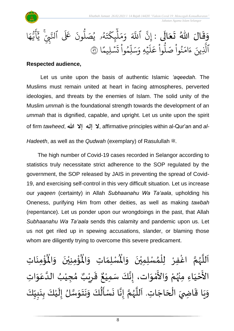



#### **Respected audience,**

Let us unite upon the basis of authentic Islamic *'aqeedah*. The Muslims must remain united at heart in facing atmospheres, perverted ideologies, and threats by the enemies of Islam. The solid unity of the Muslim *ummah* is the foundational strength towards the development of an *ummah* that is dignified, capable, and upright. Let us unite upon the spirit of firm *tawheed*, الله إلا الله عبد affirmative principles within al-Qur'an and al-

*Hadeeth*, as well as the *Qudwah* (exemplary) of Rasulullah  $\ddot{\mathcal{L}}$ .

The high number of Covid-19 cases recorded in Selangor according to statistics truly necessitate strict adherence to the SOP regulated by the government, the SOP released by JAIS in preventing the spread of Covid-19, and exercising self-control in this very difficult situation. Let us increase our *yaqeen* (certainty) in Allah *Subhaanahu Wa Ta'aala*, upholding his Oneness, purifying Him from other deities, as well as making *tawbah* (repentance). Let us ponder upon our wrongdoings in the past, that Allah *Subhaanahu Wa Ta'aala* sends this calamity and pandemic upon us. Let us not get riled up in spewing accusations, slander, or blaming those whom are diligently trying to overcome this severe predicament.

ر<br>ؤم ؚ<br>م  $\mathbf{r}^{\circ}$ ِ<br>لْمُسْلِمَاتِ وَالْمُ  $\tilde{\cdot}$  $\frac{1}{2}$ ِ<br>اَللَّهُمَّ اغْفِرْ لِلْمُسْلِمِيْنَ وَالْمُسْلِمَاتِ وَالْمُؤْمِنِيْنَ وَالْمُؤْمِنَاتِ  $\tilde{\cdot}$  $\ddot{\phantom{0}}$ ់<br>រ ُ<br>አ ់<br>ព្រ ِ<br>و ن<br>م ر<br>ر<br>ر ا<br>آ ً<br>أ  $\ddot{\phantom{0}}$ ់<br>: ُْ نيْنَ وَالْمُ  $\tilde{\cdot}$  $\ddot{\phantom{0}}$ ْ الأَحْيَاءِ مِنْهُمْ وَالأَمْوَات، إِنَّكَ سَمِيْعٌ قَرِيْبٌ مُجِيْبُ الدَّعَوَاتِ َ ֦֧֦֧֦֧֦֧֦֧֦֧֦֧֦֧֦֧֦֧֦֧֦֧<br>**֧** --<br>ع ْ ِ<br>رو ْ  $\frac{1}{2}$ ْ<br>م -<br>इ  $\frac{1}{2}$ ِ<br>م ان<br>ا ُ ٝ<br>ْ  $\frac{1}{2}$ ه<br>**ثا** ي ر ق  $\overline{\phantom{a}}$  $\ddot{\mathbf{r}}$  $\frac{1}{2}$ ، إِنَّكَ سَمِيْعٌ ْ ل<br>•<br>•  $\frac{1}{2}$ وَيَا قَاضِيَ الْحَاجَاتِ. اَللَّهُمَّ إِنَّا نَسْأَلُكَ وَنَتَوَسَّلُ إِلَيْكَ بِنَبِيِّكَ  $\frac{1}{1}$  $\frac{1}{2}$ L<br>:  $\ddot{\phantom{0}}$ <u>ر</u><br>-ْ َ<br>ا  $\frac{1}{2}$ ان<br>ا  $\ddot{\ }$  $\ddot{\phantom{0}}$  $\ddot{\phantom{0}}$ َ<br>ِم ِ<br>مو  $\frac{1}{2}$  $\ddot{\phantom{0}}$ لة<br>•  $\frac{1}{2}$ ن<br>م ر<br>ر<br>ر ا<br>آ َ  $\overline{\phantom{a}}$ ا<br>أ  $\frac{1}{2}$  $\ddot{\tilde{}}$  $\ddot{\phantom{0}}$  $\tilde{ }$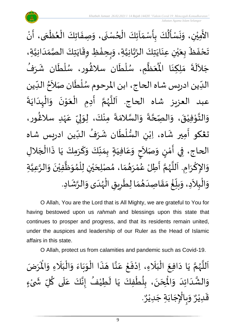

 $\ddot{\cdot}$ الأَمِيْنِ، وَنَسْأَلُكَ بِأَسْمَآئِكَ الْحُسْنَى، وَصِفَاتِكَ الْعُظْمَى، أَنْ  $\frac{1}{2}$  $\ddot{\phantom{0}}$ و<br>م ֦֧֦֧֦֧֦֧֦֧֦֧֧֦֧֧֝֝֓֟֓֓֜֓֓<u>֦֖</u>  $\frac{1}{\lambda}$  $\frac{1}{2}$  $\ddot{\cdot}$ ُمُ<br>ا  $\frac{1}{2}$  $\ddot{\phantom{0}}$  $\frac{1}{2}$ ់<br>( ِ<br>ج ْ الله<br>ما ์ ֦֧֦֧֦֧֦֧֦֧֦֧֦֧֦֧֦֧֦֧֦֧֦֧֝֝֟֓<br>**֧** ,<br>∘ ֦֧֦֧֦֧֦֧֦֧֦֜֜֜֜<br>֧ׅ֦֛ׅ֦֛֝֜֜֜֜֜֜֜֜֜֜֜֜֜֜֜֜֜֜ تَحْفَظَ بِعَيْنِ عِنَايَتِكَ الرَّبَّانِيَّةِ، وَبِحِفْظِ وِقَايَتِكَ الصَّمَدَانِيَّةِ، اتا<br>ا  $\frac{1}{1}$  $\frac{1}{\sqrt{2}}$ ا<br>ما  $\ddot{\phantom{0}}$  $\ddot{\ddot{\cdot}}$ ֦֧֦֧֦֧<u>֦</u>  $\frac{1}{2}$  $\frac{1}{2}$ اتا<br>ا ن<br>م<br>۱ ا<br>په  $\ddot{\phantom{0}}$  $\ddot{\phantom{0}}$ ់<br>**រ** ي  $\frac{1}{2}$ َ ं<br>◆<br>  $\ddot{\phantom{0}}$  $\ddot{\phantom{0}}$ جَلاَلَةَ مَلِكِنَا الْمُعَظَّمِ، سُلْطَان سلاڠُور، سُلْطَان شَرَفُ ِ<br>ا  $\tilde{\phantom{a}}$ ُ<br>م  $\mathbf{r}$  $\ddot{\phantom{0}}$ ់<br>**រ** ر<br>م )<br>ፌ  $\ddot{\phantom{0}}$ ۔<br>أ ر<br>ر<br>ر ا<br>ا  $\frac{1}{2}$ .<br>مو مَلِكِنَا الْمُ .<br>.<br>•  $\frac{1}{2}$ الدِّين ادريس شاه الحاج، ابن المرحوم سُلْطَان صَلاَحُ الدِّين  $\frac{1}{1}$ <sup>ื้</sup> ्<br>र  $\ddot{\phantom{0}}$ ۔<br>ا ر<br>ر<br>ر  $\frac{1}{\sqrt{2}}$ عبد العزيز شاه الحاج. اَللَّهُمَّ أَدِمِ الْعَوْنَ وَالْهِدَايَةَ ا<br>بہ  $\ddot{\phantom{0}}$  $\frac{1}{1}$ ْ ์  $\ddot{\phantom{0}}$ י<br>י  $\frac{1}{2}$ ֦֧<u>֚</u>  $\ddot{\phantom{0}}$ ِ<br>پنج ن<br>م ر<br>ر<br>ر ا<br>ا .<br>آ وَالتَّوْفِيْقَ، وَالصِّحَّةَ وَالسَّلامَةَ مِنْكَ، لِوَلِيِّ عَهْدِ سلاَغُور، )<br>ፌ ٝ<br>ۣ<br>ؙ .<br>م  $\frac{1}{2}$  $\frac{1}{2}$ إ  $\frac{1}{2}$ ْ  $\ddot{\cdot}$  $\frac{1}{2}$ ا<br>اس  $\tilde{\cdot}$  $\ddot{\phantom{0}}$ ة<br>م  $\frac{1}{2}$  $\ddot{\phantom{0}}$ ់<br>រ ់<br>់ لة<br>\*\*  $\frac{1}{2}$ تغكو أمِير شَاه، اِبْنِ السُّلْطَان شَرَفُ الدِّين ادريس شاه بر<br>ما ُ  $\ddot{\phantom{0}}$  $\ddot{\phantom{0}}$ ់<br>(  $\frac{3}{2}$ ْ  $\ddot{\phantom{0}}$ ِ<br>پنج الحاج، فِي أَمْنٍ وَصَلاَحٍ وَعَافِيَةٍ بِمَنَّكَ وَكَرَمِكَ يَا ذَاالْجَلالِ  $\ddot{\phantom{0}}$ َ  $\frac{1}{2}$  $\frac{1}{2}$  $\frac{1}{2}$  $\frac{1}{2}$  $\frac{1}{2}$ َ .<br>م  $\frac{1}{2}$ **∣** َ  $\frac{1}{2}$ <u>لي</u> ់<br>ត  $\frac{1}{2}$  $\overline{\phantom{a}}$ ْ  $\ddot{\ddot{\cdot}}$ وَالإِكْرَامِ. اَللَّهُمَّ أَطِلْ عُمْرَهُمَا، مُصْلِحَيْنِ لِلْمُوَظَّفِيْنَ وَالرَّعِيَّةِ ات<br>ا ان<br>ا  $\tilde{\cdot}$  $\ddot{\phantom{0}}$ ់<br>ព ا<br>الم  $\frac{1}{2}$ ๋<br>ለ ់<br>( ْ ي  $\overline{\phantom{a}}$  $\frac{1}{2}$  $\frac{1}{2}$  $\frac{1}{2}$ ْ بر<br>م  $\frac{1}{2}$ ا<br>مح ر<br>ر<br>ر ا<br>آ ا<br>أ  $\ddot{\phantom{0}}$ ٔ<br>م  $\frac{1}{2}$ وَالْبِلاَدِ، وَبِلّغْ مَقَاصِدَهُمَا لِطَرِيقِ الْهُدَى وَالرَّشَادِ. ्<br>रू  $\tilde{\cdot}$  $\frac{1}{1}$ ر<br>ر<br>ر ْ Ï  $\overline{\phantom{a}}$  $\ddot{\phantom{0}}$  $\frac{1}{2}$  $\frac{1}{2}$ َ  $\frac{1}{2}$  $\frac{1}{2}$ <u>់</u>  $\frac{1}{1}$  $\overline{r}$  $\frac{1}{2}$  $\sim$ ֦֧֦֧֦֧֦֧֦֧֦֜֜֜֜֓֓֟֓<br>֧ׅׅ֝֜֜֜֜֜֜֜֜֜֜֜֜֜֜֝֜֜֬֟  $\frac{1}{2}$ 

O Allah, You are the Lord that is All Mighty, we are grateful to You for having bestowed upon us *rahmah* and blessings upon this state that continues to prosper and progress, and that its residents remain united, under the auspices and leadership of our Ruler as the Head of Islamic affairs in this state.

O Allah, protect us from calamities and pandemic such as Covid-19.

ن<br>م اَللَّهُمَّ يَا دَافِعَ الْبَلَاءِ، اِدْفَعْ عَنَّا هَذَا الْوَبَاءَ وَالْبَلَاءِ وَالْمَرَضَ و<br>ر ا<br>آ ً<br>آ يَا دَافِعَ الْبَلَاءِ، اِدْفَعْ عَنَّا هَذَا الْوَبَاءَ وَالْبَلَاءِ وَالْمُ  $\tilde{\cdot}$ ً<br>ن  $\frac{1}{1}$ ْ  $\tilde{\cdot}$  $\frac{1}{2}$  $\ddot{\phantom{0}}$  $\frac{1}{2}$ ْ  $\ddot{\phantom{0}}$  $\overline{\phantom{a}}$ اتا<br>ج .<br>م ֦֧<u>֦</u>  $\ddot{\cdot}$ ْ َ<br>ا َ ֦֧֦֧֦֧֦֧֦֧֦֜֜֜֜֓֓֟֓<br>֧ׅׅ֝֜֜֜֜֜֜֜֜֜֜֜֬֜֜֜֜֬֟  $\ddot{\phantom{0}}$  $\sim$  $\ddot{\phantom{0}}$ ى<br>وَالْشَّدَائِدَ وَالْمِحَنَ، بِلُطْفِكَ يَا لَطِيْفُ إِنَّكَ عَلَى كُلِّ شَىْءٍ **∶** ْ ์ $\frac{1}{2}$ ُ َ<br>آ .<br>م اله<br>بان<br>با  $\frac{1}{2}$ ُ  $\tilde{\mathbf{r}}$  $\ddot{\phantom{0}}$ ֦֧֦֧֦֧֦֧֦֧֦֧֦֧֦֧֦֧֦֧֦֟֓֓֟֓<br>**֧** ٍ<br>ا <u>ر</u><br>- $\ddot{\phantom{0}}$  $\overline{\phantom{a}}$ )<br>°  $\frac{1}{2}$ َ َ نه<br>په  $\frac{1}{2}$ . و<br>م وَبِالْإِجَابَةِ جَدِيْرٌ ٝ<br>ؙ  $\overline{\phantom{a}}$  $\ddot{\phantom{0}}$  $\ddot{\phantom{0}}$ ֦֧֦֧֦֧֦֧֦֧֦֧֦֧֜֜֜֓֓֓<br>֧֝֜֜֜֜֜֜֜֜֟֓֬֓֟ ر<br>م  $\frac{1}{2}$ و<br>م قَدِيْرٌ ٝ<br>ؙ  $\frac{1}{2}$